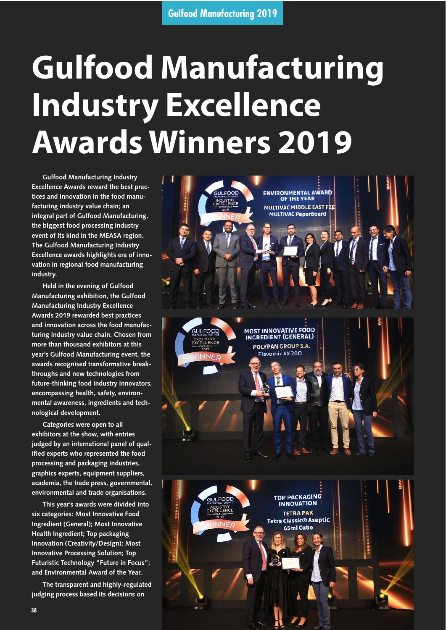## **Gulfood Manufacturing Industry Excellence Awards Winners 2019**

**Gulfood Manufacturing Industry Excellence Awards reward the best practices and innovation in the food manufacturing industry value chain; an integral part of Gulfood Manufacturing, the biggest food processing industry event of its kind in the MEASA region. The Gulfood Manufacturing Industry Excellence awards highlights era of innovation in regional food manufacturing industry.**

**Held in the evening of Gulfood Manufacturing exhibition, the Gulfood Manufacturing Industry Excellence Awards 2019 rewarded best practices and innovation across the food manufacturing industry value chain. Chosen from more than thousand exhibitors at this year's Gulfood Manufacturing event, the awards recognised transformative breakthroughs and new technologies from future-thinking food industry innovators, encompassing health, safety, environmental awareness, ingredients and technological development.**

**Categories were open to all exhibitors at the show, with entries judged by an international panel of qualified experts who represented the food processing and packaging industries, graphics experts, equipment suppliers, academia, the trade press, governmental, environmental and trade organisations.**

**This year's awards were divided into six categories: Most Innovative Food Ingredient (General); Most Innovative Health Ingredient; Top packaging Innovation (Creativity/Design); Most Innovative Processing Solution; Top Futuristic Technology "Future in Focus"; and Environmental Award of the Year.**

**The transparent and highly-regulated judging process based its decisions on**